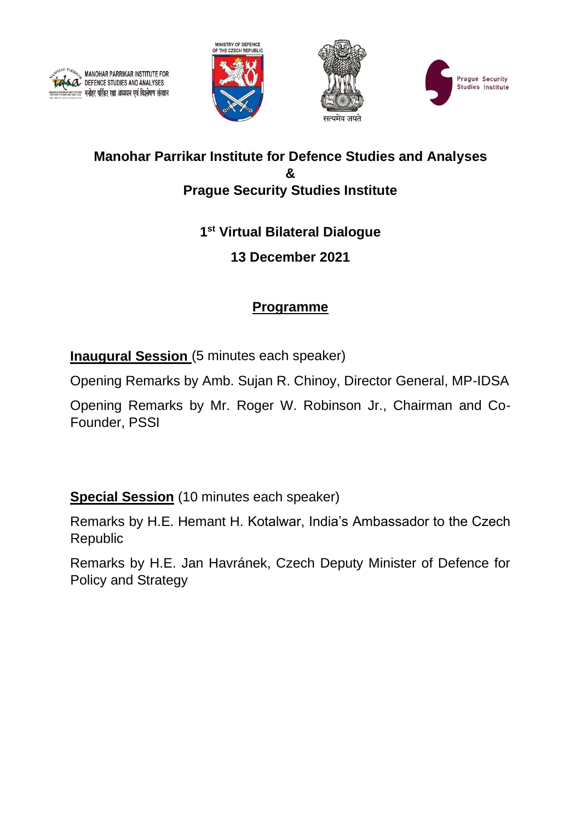







## **Manohar Parrikar Institute for Defence Studies and Analyses & Prague Security Studies Institute**

# **1 st Virtual Bilateral Dialogue**

# **13 December 2021**

# **Programme**

**Inaugural Session** (5 minutes each speaker)

Opening Remarks by Amb. Sujan R. Chinoy, Director General, MP-IDSA

Opening Remarks by Mr. Roger W. Robinson Jr., Chairman and Co-Founder, PSSI

**Special Session** (10 minutes each speaker)

Remarks by H.E. Hemant H. Kotalwar, India's Ambassador to the Czech Republic

Remarks by H.E. Jan Havránek, Czech Deputy Minister of Defence for Policy and Strategy